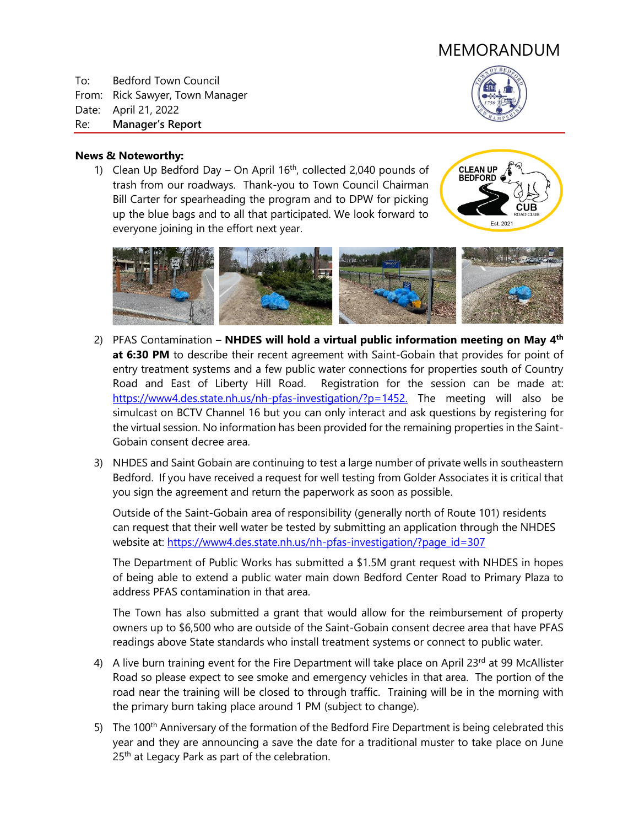# MEMORANDUM

To: Bedford Town Council From: Rick Sawyer, Town Manager Date: April 21, 2022 Re: **Manager's Report**



#### **News & Noteworthy:**

1) Clean Up Bedford Day – On April  $16<sup>th</sup>$ , collected 2,040 pounds of trash from our roadways. Thank-you to Town Council Chairman Bill Carter for spearheading the program and to DPW for picking up the blue bags and to all that participated. We look forward to everyone joining in the effort next year.





- 2) PFAS Contamination **NHDES will hold a virtual public information meeting on May 4<sup>th</sup> at 6:30 PM** to describe their recent agreement with Saint-Gobain that provides for point of entry treatment systems and a few public water connections for properties south of Country Road and East of Liberty Hill Road. Registration for the session can be made at: [https://www4.des.state.nh.us/nh-pfas-investigation/?p=1452.](https://www4.des.state.nh.us/nh-pfas-investigation/?p=1452) The meeting will also be simulcast on BCTV Channel 16 but you can only interact and ask questions by registering for the virtual session. No information has been provided for the remaining properties in the Saint-Gobain consent decree area.
- 3) NHDES and Saint Gobain are continuing to test a large number of private wells in southeastern Bedford. If you have received a request for well testing from Golder Associates it is critical that you sign the agreement and return the paperwork as soon as possible.

Outside of the Saint-Gobain area of responsibility (generally north of Route 101) residents can request that their well water be tested by submitting an application through the NHDES website at: [https://www4.des.state.nh.us/nh-pfas-investigation/?page\\_id=307](https://www4.des.state.nh.us/nh-pfas-investigation/?page_id=307)

The Department of Public Works has submitted a \$1.5M grant request with NHDES in hopes of being able to extend a public water main down Bedford Center Road to Primary Plaza to address PFAS contamination in that area.

The Town has also submitted a grant that would allow for the reimbursement of property owners up to \$6,500 who are outside of the Saint-Gobain consent decree area that have PFAS readings above State standards who install treatment systems or connect to public water.

- 4) A live burn training event for the Fire Department will take place on April 23rd at 99 McAllister Road so please expect to see smoke and emergency vehicles in that area. The portion of the road near the training will be closed to through traffic. Training will be in the morning with the primary burn taking place around 1 PM (subject to change).
- 5) The 100<sup>th</sup> Anniversary of the formation of the Bedford Fire Department is being celebrated this year and they are announcing a save the date for a traditional muster to take place on June 25<sup>th</sup> at Legacy Park as part of the celebration.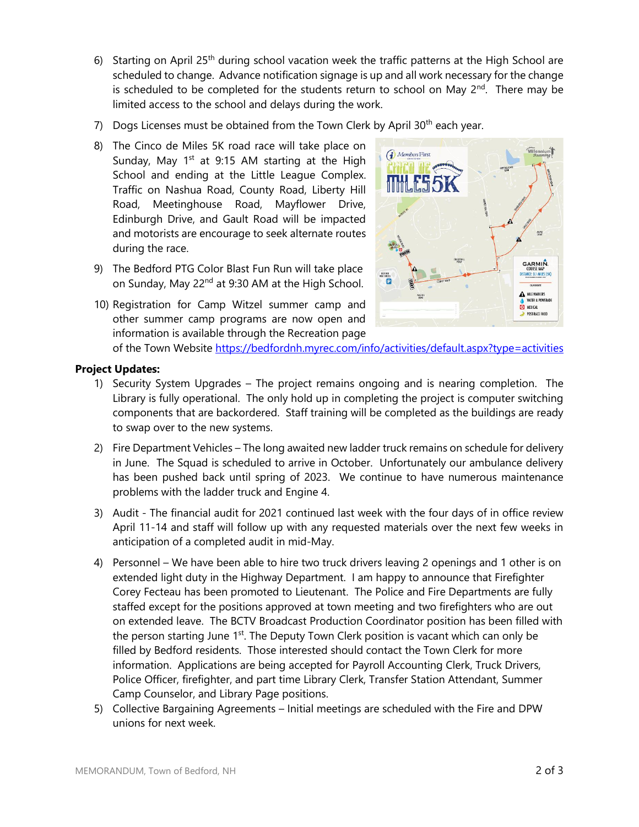- 6) Starting on April  $25<sup>th</sup>$  during school vacation week the traffic patterns at the High School are scheduled to change. Advance notification signage is up and all work necessary for the change is scheduled to be completed for the students return to school on May  $2^{nd}$ . There may be limited access to the school and delays during the work.
- 7) Dogs Licenses must be obtained from the Town Clerk by April  $30<sup>th</sup>$  each year.
- 8) The Cinco de Miles 5K road race will take place on Sunday, May  $1<sup>st</sup>$  at 9:15 AM starting at the High School and ending at the Little League Complex. Traffic on Nashua Road, County Road, Liberty Hill Road, Meetinghouse Road, Mayflower Drive, Edinburgh Drive, and Gault Road will be impacted and motorists are encourage to seek alternate routes during the race.
- 9) The Bedford PTG Color Blast Fun Run will take place on Sunday, May 22<sup>nd</sup> at 9:30 AM at the High School.
- 10) Registration for Camp Witzel summer camp and other summer camp programs are now open and information is available through the Recreation page



of the Town Website<https://bedfordnh.myrec.com/info/activities/default.aspx?type=activities>

## **Project Updates:**

- 1) Security System Upgrades The project remains ongoing and is nearing completion. The Library is fully operational. The only hold up in completing the project is computer switching components that are backordered. Staff training will be completed as the buildings are ready to swap over to the new systems.
- 2) Fire Department Vehicles The long awaited new ladder truck remains on schedule for delivery in June. The Squad is scheduled to arrive in October. Unfortunately our ambulance delivery has been pushed back until spring of 2023. We continue to have numerous maintenance problems with the ladder truck and Engine 4.
- 3) Audit The financial audit for 2021 continued last week with the four days of in office review April 11-14 and staff will follow up with any requested materials over the next few weeks in anticipation of a completed audit in mid-May.
- 4) Personnel We have been able to hire two truck drivers leaving 2 openings and 1 other is on extended light duty in the Highway Department. I am happy to announce that Firefighter Corey Fecteau has been promoted to Lieutenant. The Police and Fire Departments are fully staffed except for the positions approved at town meeting and two firefighters who are out on extended leave. The BCTV Broadcast Production Coordinator position has been filled with the person starting June 1<sup>st</sup>. The Deputy Town Clerk position is vacant which can only be filled by Bedford residents. Those interested should contact the Town Clerk for more information. Applications are being accepted for Payroll Accounting Clerk, Truck Drivers, Police Officer, firefighter, and part time Library Clerk, Transfer Station Attendant, Summer Camp Counselor, and Library Page positions.
- 5) Collective Bargaining Agreements Initial meetings are scheduled with the Fire and DPW unions for next week.